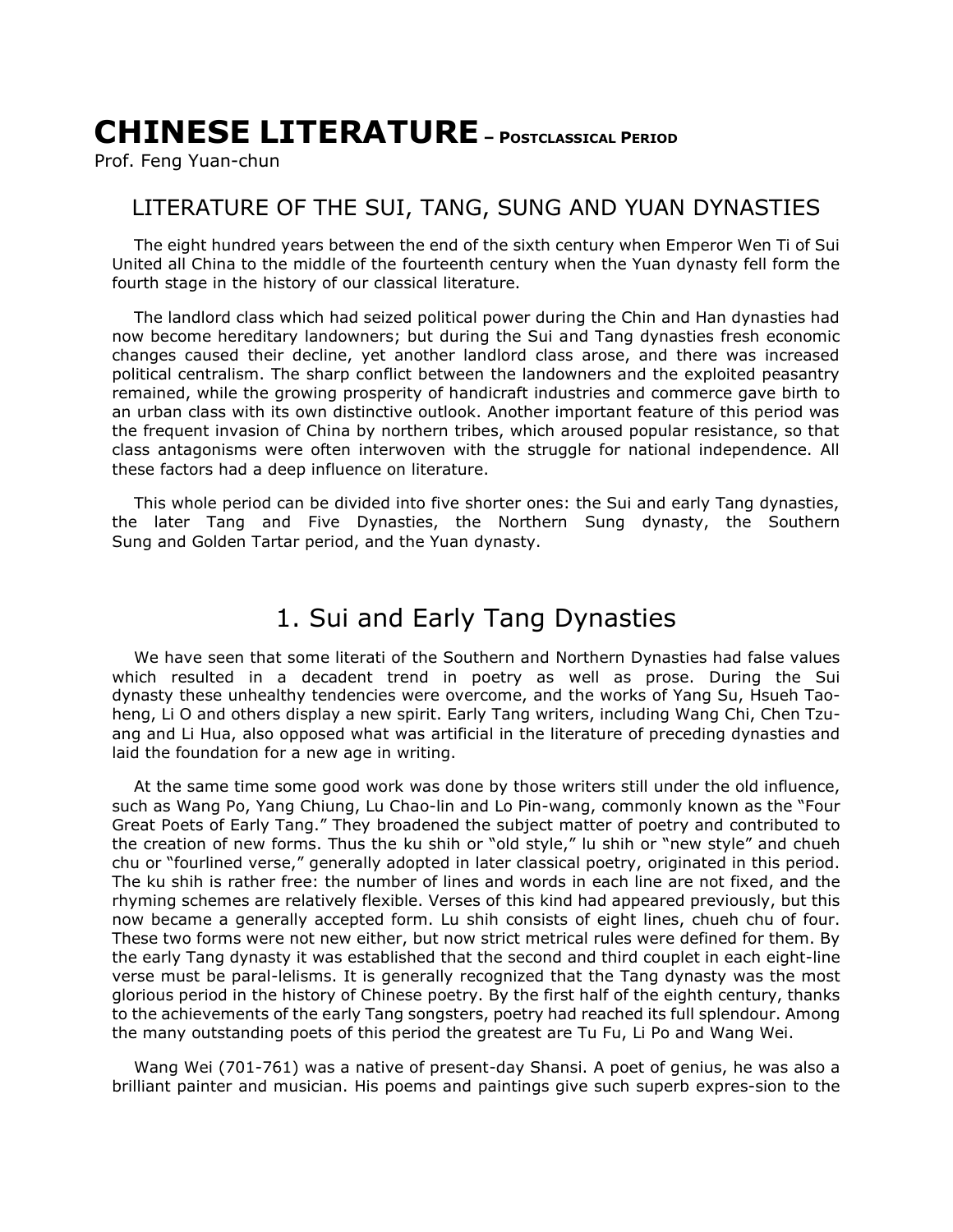# **CHINESE LITERATURE – <sup>P</sup>OSTCLASSICAL PERIOD**

Prof. Feng Yuan-chun

#### LITERATURE OF THE SUI, TANG, SUNG AND YUAN DYNASTIES

The eight hundred years between the end of the sixth century when Emperor Wen Ti of Sui United all China to the middle of the fourteenth century when the Yuan dynasty fell form the fourth stage in the history of our classical literature.

The landlord class which had seized political power during the Chin and Han dynasties had now become hereditary landowners; but during the Sui and Tang dynasties fresh economic changes caused their decline, yet another landlord class arose, and there was increased political centralism. The sharp conflict between the landowners and the exploited peasantry remained, while the growing prosperity of handicraft industries and commerce gave birth to an urban class with its own distinctive outlook. Another important feature of this period was the frequent invasion of China by northern tribes, which aroused popular resistance, so that class antagonisms were often interwoven with the struggle for national independence. All these factors had a deep influence on literature.

This whole period can be divided into five shorter ones: the Sui and early Tang dynasties, the later Tang and Five Dynasties, the Northern Sung dynasty, the Southern Sung and Golden Tartar period, and the Yuan dynasty.

#### 1. Sui and Early Tang Dynasties

We have seen that some literati of the Southern and Northern Dynasties had false values which resulted in a decadent trend in poetry as well as prose. During the Sui dynasty these unhealthy tendencies were overcome, and the works of Yang Su, Hsueh Taoheng, Li O and others display a new spirit. Early Tang writers, including Wang Chi, Chen Tzuang and Li Hua, also opposed what was artificial in the literature of preceding dynasties and laid the foundation for a new age in writing.

At the same time some good work was done by those writers still under the old influence, such as Wang Po, Yang Chiung, Lu Chao-lin and Lo Pin-wang, commonly known as the "Four Great Poets of Early Tang." They broadened the subject matter of poetry and contributed to the creation of new forms. Thus the ku shih or "old style," lu shih or "new style" and chueh chu or "fourlined verse," generally adopted in later classical poetry, originated in this period. The ku shih is rather free: the number of lines and words in each line are not fixed, and the rhyming schemes are relatively flexible. Verses of this kind had appeared previously, but this now became a generally accepted form. Lu shih consists of eight lines, chueh chu of four. These two forms were not new either, but now strict metrical rules were defined for them. By the early Tang dynasty it was established that the second and third couplet in each eight-line verse must be paral-lelisms. It is generally recognized that the Tang dynasty was the most glorious period in the history of Chinese poetry. By the first half of the eighth century, thanks to the achievements of the early Tang songsters, poetry had reached its full splendour. Among the many outstanding poets of this period the greatest are Tu Fu, Li Po and Wang Wei.

Wang Wei (701-761) was a native of present-day Shansi. A poet of genius, he was also a brilliant painter and musician. His poems and paintings give such superb expres-sion to the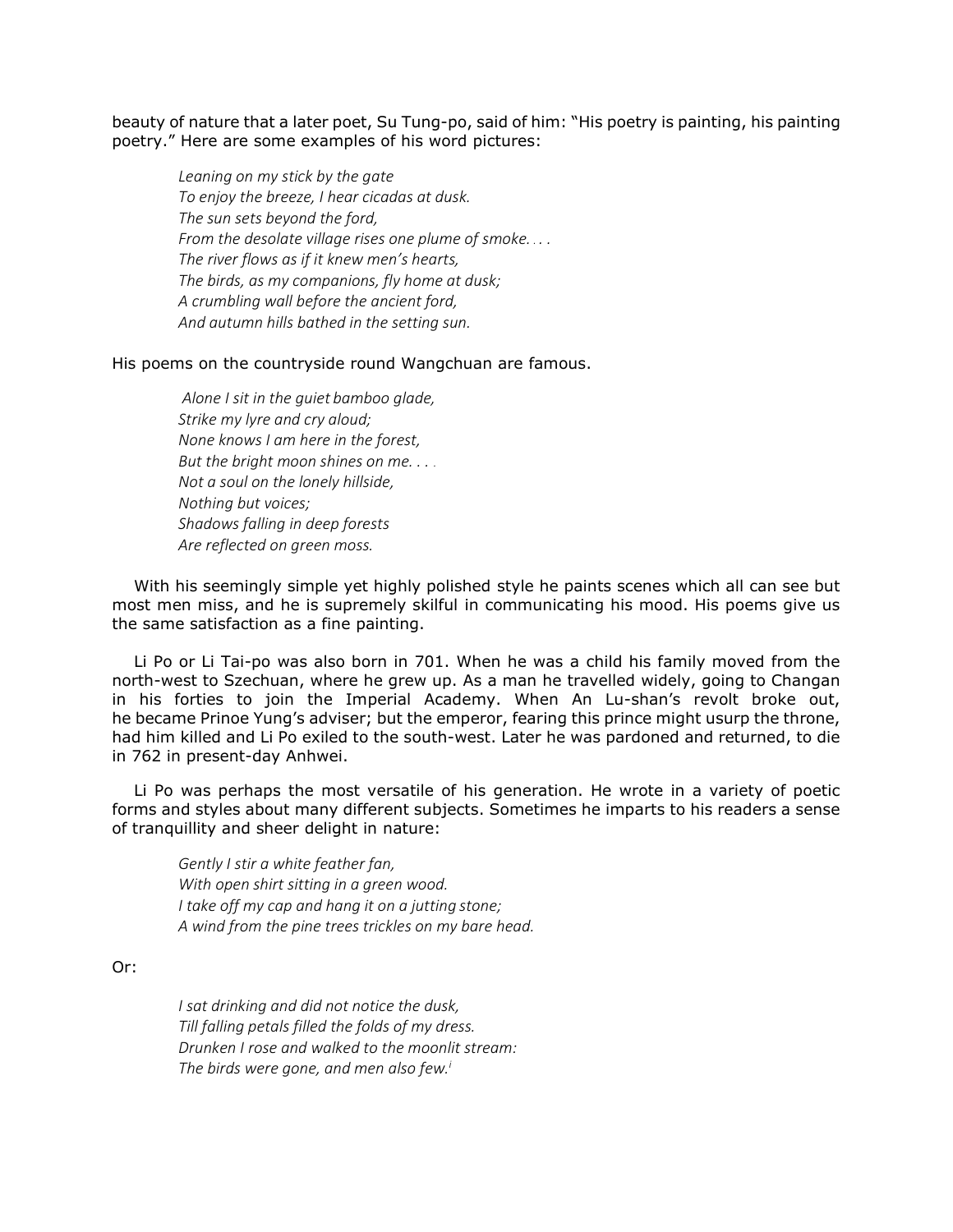beauty of nature that a later poet, Su Tung-po, said of him: "His poetry is painting, his painting poetry." Here are some examples of his word pictures:

*Leaning on my stick by the gate To enjoy the breeze, I hear cicadas at dusk. The sun sets beyond the ford, From the desolate village rises one plume of smoke. . . . The river flows as if it knew men's hearts, The birds, as my companions, fly home at dusk; A crumbling wall before the ancient ford, And autumn hills bathed in the setting sun.*

His poems on the countryside round Wangchuan are famous.

*Alone I sit in the guiet bamboo glade, Strike my lyre and cry aloud; None knows I am here in the forest, But the bright moon shines on me. . . . Not a soul on the lonely hillside, Nothing but voices; Shadows falling in deep forests Are reflected on green moss.*

With his seemingly simple yet highly polished style he paints scenes which all can see but most men miss, and he is supremely skilful in communicating his mood. His poems give us the same satisfaction as a fine painting.

Li Po or Li Tai-po was also born in 701. When he was a child his family moved from the north-west to Szechuan, where he grew up. As a man he travelled widely, going to Changan in his forties to join the Imperial Academy. When An Lu-shan's revolt broke out, he became Prinoe Yung's adviser; but the emperor, fearing this prince might usurp the throne, had him killed and Li Po exiled to the south-west. Later he was pardoned and returned, to die in 762 in present-day Anhwei.

Li Po was perhaps the most versatile of his generation. He wrote in a variety of poetic forms and styles about many different subjects. Sometimes he imparts to his readers a sense of tranquillity and sheer delight in nature:

*Gently I stir a white feather fan, With open shirt sitting in a green wood. I take off my cap and hang it on a jutting stone; A wind from the pine trees trickles on my bare head.*

Or:

*I sat drinking and did not notice the dusk, Till falling petals filled the folds of my dress. Drunken I rose and walked to the moonlit stream: The birds were gone, and men also few.i*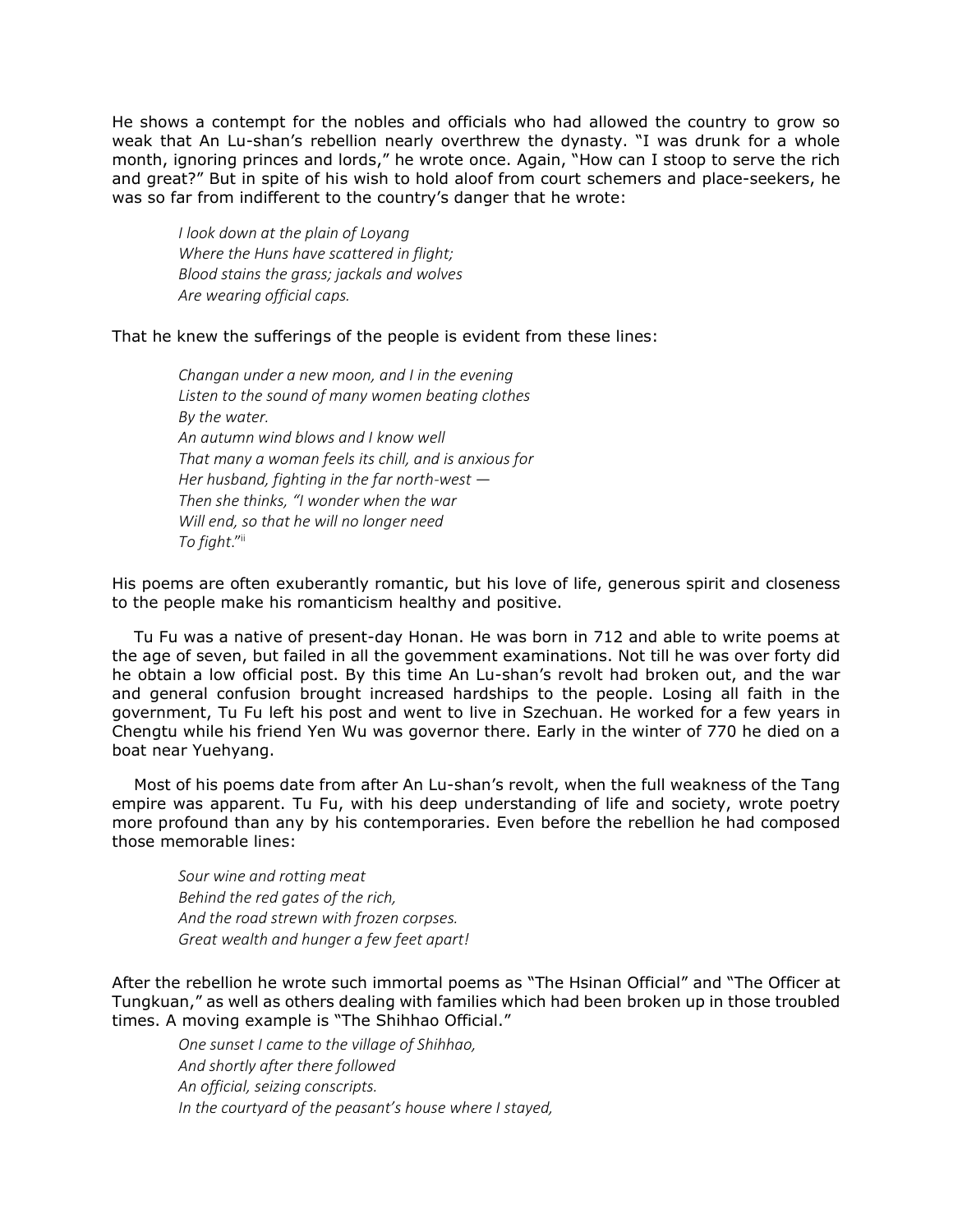He shows a contempt for the nobles and officials who had allowed the country to grow so weak that An Lu-shan's rebellion nearly overthrew the dynasty. "I was drunk for a whole month, ignoring princes and lords," he wrote once. Again, "How can I stoop to serve the rich and great?" But in spite of his wish to hold aloof from court schemers and place-seekers, he was so far from indifferent to the country's danger that he wrote:

*I look down at the plain of Loyang Where the Huns have scattered in flight; Blood stains the grass; jackals and wolves Are wearing official caps.*

That he knew the sufferings of the people is evident from these lines:

*Changan under a new moon, and I in the evening Listen to the sound of many women beating clothes By the water. An autumn wind blows and I know well That many a woman feels its chill, and is anxious for Her husband, fighting in the far north-west* — *Then she thinks, "I wonder when the war Will end, so that he will no longer need To fight*." ii

His poems are often exuberantly romantic, but his love of life, generous spirit and closeness to the people make his romanticism healthy and positive.

Tu Fu was a native of present-day Honan. He was born in 712 and able to write poems at the age of seven, but failed in all the govemment examinations. Not till he was over forty did he obtain a low official post. By this time An Lu-shan's revolt had broken out, and the war and general confusion brought increased hardships to the people. Losing all faith in the government, Tu Fu left his post and went to live in Szechuan. He worked for a few years in Chengtu while his friend Yen Wu was governor there. Early in the winter of 770 he died on a boat near Yuehyang.

Most of his poems date from after An Lu-shan's revolt, when the full weakness of the Tang empire was apparent. Tu Fu, with his deep understanding of life and society, wrote poetry more profound than any by his contemporaries. Even before the rebellion he had composed those memorable lines:

*Sour wine and rotting meat Behind the red gates of the rich, And the road strewn with frozen corpses. Great wealth and hunger a few feet apart!*

After the rebellion he wrote such immortal poems as "The Hsinan Official" and "The Officer at Tungkuan," as well as others dealing with families which had been broken up in those troubled times. A moving example is "The Shihhao Official."

*One sunset I came to the village of Shihhao, And shortly after there followed An official, seizing conscripts. In the courtyard of the peasant's house where I stayed,*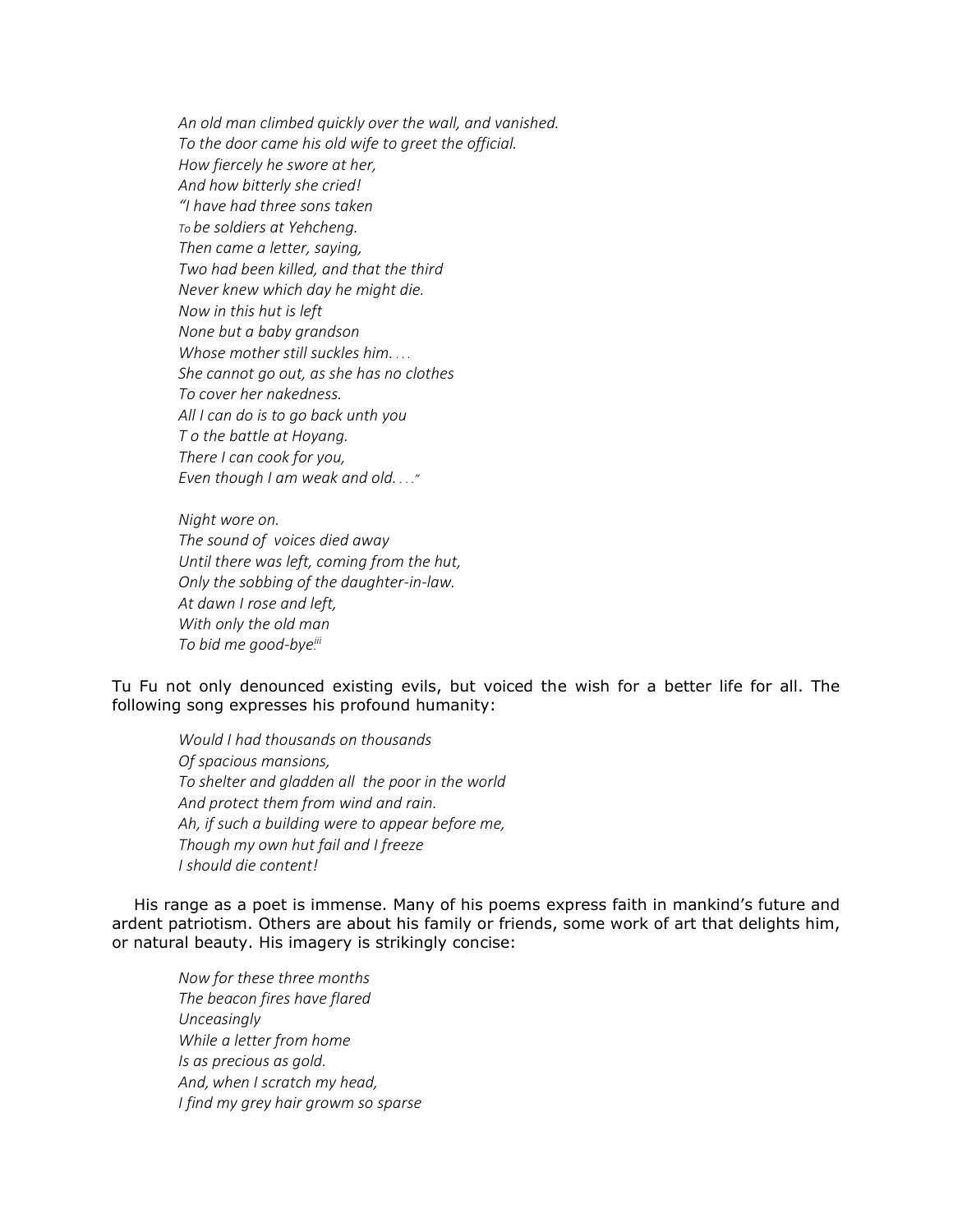*An old man climbed quickly over the wall, and vanished. To the door came his old wife to greet the official. How fiercely he swore at her, And how bitterly she cried! "I have had three sons taken To be soldiers at Yehcheng. Then came a letter, saying, Two had been killed, and that the third Never knew which day he might die. Now in this hut is left None but a baby grandson Whose mother still suckles him. . . . She cannot go out, as she has no clothes To cover her nakedness. All I can do is to go back unth you T o the battle at Hoyang. There I can cook for you, Even though I am weak and old. . . ."*

*Night wore on. The sound of voices died away Until there was left, coming from the hut, Only the sobbing of the daughter-in-law. At dawn I rose and left, With only the old man To bid me good-bye. iii*

Tu Fu not only denounced existing evils, but voiced the wish for a better life for all. The following song expresses his profound humanity:

*Would I had thousands on thousands Of spacious mansions, To shelter and gladden all the poor in the world And protect them from wind and rain. Ah, if such a building were to appear before me, Though my own hut fail and I freeze I should die content!*

His range as a poet is immense. Many of his poems express faith in mankind's future and ardent patriotism. Others are about his family or friends, some work of art that delights him, or natural beauty. His imagery is strikingly concise:

*Now for these three months The beacon fires have flared Unceasingly While a letter from home Is as precious as gold. And, when I scratch my head, I find my grey hair growm so sparse*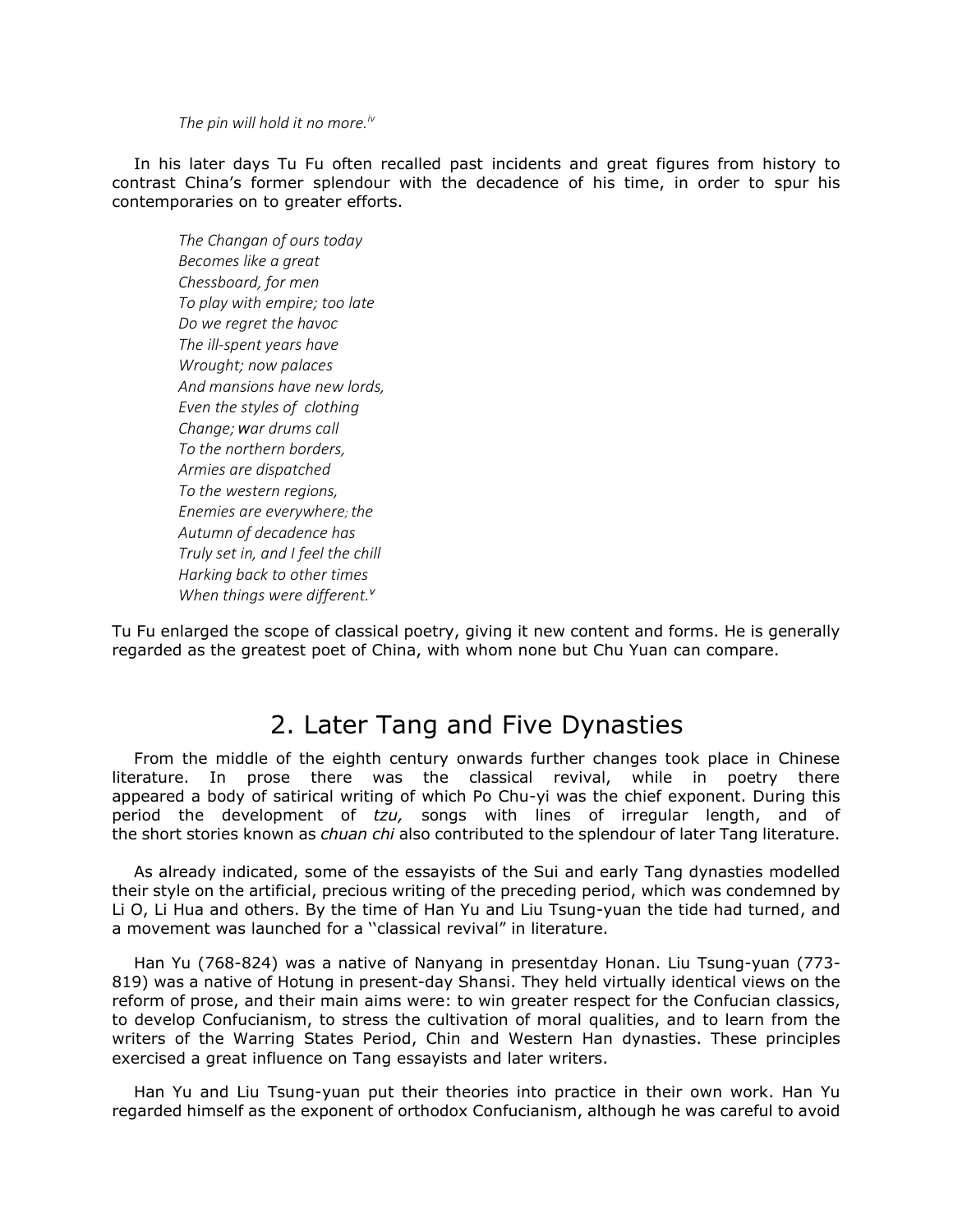*The pin will hold it no more.iv*

In his later days Tu Fu often recalled past incidents and great figures from history to contrast China's former splendour with the decadence of his time, in order to spur his contemporaries on to greater efforts.

*The Changan of ours today Becomes like a great Chessboard, for men To play with empire; too late Do we regret the havoc The ill-spent years have Wrought; now palaces And mansions have new lords, Even the styles of clothing Change; war drums call To the northern borders, Armies are dispatched To the western regions, Enemies are everywhere; the Autumn of decadence has Truly set in, and I feel the chill Harking back to other times When things were different.<sup>v</sup>*

Tu Fu enlarged the scope of classical poetry, giving it new content and forms. He is generally regarded as the greatest poet of China, with whom none but Chu Yuan can compare.

## 2. Later Tang and Five Dynasties

From the middle of the eighth century onwards further changes took place in Chinese literature. In prose there was the classical revival, while in poetry there appeared a body of satirical writing of which Po Chu-yi was the chief exponent. During this period the development of *tzu,* songs with lines of irregular length, and of the short stories known as *chuan chi* also contributed to the splendour of later Tang literature.

As already indicated, some of the essayists of the Sui and early Tang dynasties modelled their style on the artificial, precious writing of the preceding period, which was condemned by Li O, Li Hua and others. By the time of Han Yu and Liu Tsung-yuan the tide had turned, and a movement was launched for a ''classical revival" in literature.

Han Yu (768-824) was a native of Nanyang in presentday Honan. Liu Tsung-yuan (773- 819) was a native of Hotung in present-day Shansi. They held virtually identical views on the reform of prose, and their main aims were: to win greater respect for the Confucian classics, to develop Confucianism, to stress the cultivation of moral qualities, and to learn from the writers of the Warring States Period, Chin and Western Han dynasties. These principles exercised a great influence on Tang essayists and later writers.

Han Yu and Liu Tsung-yuan put their theories into practice in their own work. Han Yu regarded himself as the exponent of orthodox Confucianism, although he was careful to avoid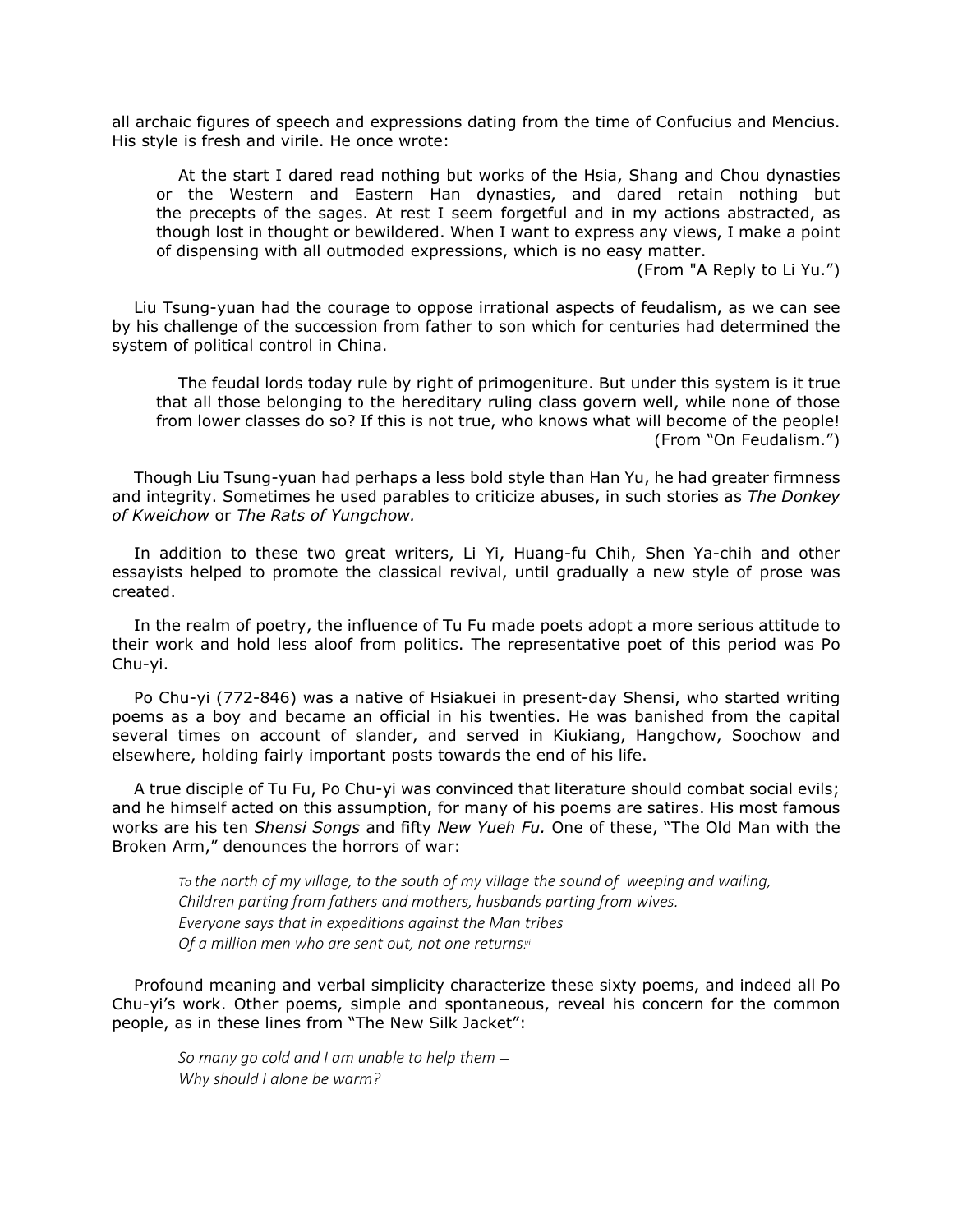all archaic figures of speech and expressions dating from the time of Confucius and Mencius. His style is fresh and virile. He once wrote:

At the start I dared read nothing but works of the Hsia, Shang and Chou dynasties or the Western and Eastern Han dynasties, and dared retain nothing but the precepts of the sages. At rest I seem forgetful and in my actions abstracted, as though lost in thought or bewildered. When I want to express any views, I make a point of dispensing with all outmoded expressions, which is no easy matter.

(From "A Reply to Li Yu.")

Liu Tsung-yuan had the courage to oppose irrational aspects of feudalism, as we can see by his challenge of the succession from father to son which for centuries had determined the system of political control in China.

The feudal lords today rule by right of primogeniture. But under this system is it true that all those belonging to the hereditary ruling class govern well, while none of those from lower classes do so? If this is not true, who knows what will become of the people! (From "On Feudalism.")

Though Liu Tsung-yuan had perhaps a less bold style than Han Yu, he had greater firmness and integrity. Sometimes he used parables to criticize abuses, in such stories as *The Donkey of Kweichow* or *The Rats of Yungchow.*

In addition to these two great writers, Li Yi, Huang-fu Chih, Shen Ya-chih and other essayists helped to promote the classical revival, until gradually a new style of prose was created.

In the realm of poetry, the influence of Tu Fu made poets adopt a more serious attitude to their work and hold less aloof from politics. The representative poet of this period was Po Chu-yi.

Po Chu-yi (772-846) was a native of Hsiakuei in present-day Shensi, who started writing poems as a boy and became an official in his twenties. He was banished from the capital several times on account of slander, and served in Kiukiang, Hangchow, Soochow and elsewhere, holding fairly important posts towards the end of his life.

A true disciple of Tu Fu, Po Chu-yi was convinced that literature should combat social evils; and he himself acted on this assumption, for many of his poems are satires. His most famous works are his ten *Shensi Songs* and fifty *New Yueh Fu.* One of these, "The Old Man with the Broken Arm," denounces the horrors of war:

*To the north of my village, to the south of my village the sound of weeping and wailing, Children parting from fathers and mothers, husbands parting from wives. Everyone says that in expeditions against the Man tribes Of a million men who are sent out, not one returns. vi*

Profound meaning and verbal simplicity characterize these sixty poems, and indeed all Po Chu-yi's work. Other poems, simple and spontaneous, reveal his concern for the common people, as in these lines from "The New Silk Jacket":

*So many go cold and I am unable to help them — Why should I alone be warm?*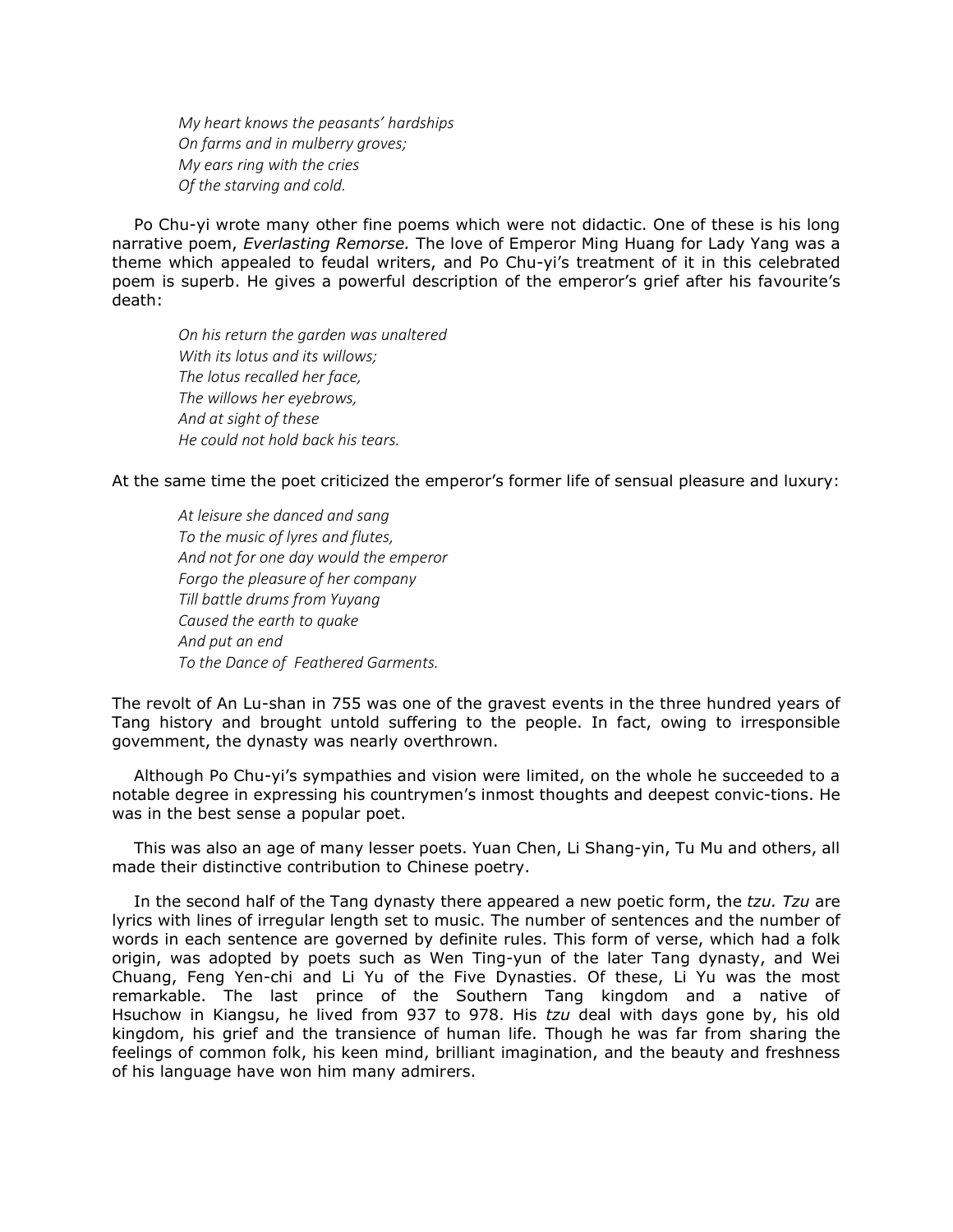*My heart knows the peasants' hardships On farms and in mulberry groves; My ears ring with the cries Of the starving and cold.*

Po Chu-yi wrote many other fine poems which were not didactic. One of these is his long narrative poem, *Everlasting Remorse.* The love of Emperor Ming Huang for Lady Yang was a theme which appealed to feudal writers, and Po Chu-yi's treatment of it in this celebrated poem is superb. He gives a powerful description of the emperor's grief after his favourite's death:

*On his return the garden was unaltered With its lotus and its willows; The lotus recalled her face, The willows her eyebrows, And at sight of these He could not hold back his tears.*

At the same time the poet criticized the emperor's former life of sensual pleasure and luxury:

*At leisure she danced and sang To the music of lyres and flutes, And not for one day would the emperor Forgo the pleasure of her company Till battle drums from Yuyang Caused the earth to quake And put an end To the Dance of Feathered Garments.*

The revolt of An Lu-shan in 755 was one of the gravest events in the three hundred years of Tang history and brought untold suffering to the people. In fact, owing to irresponsible govemment, the dynasty was nearly overthrown.

Although Po Chu-yi's sympathies and vision were limited, on the whole he succeeded to a notable degree in expressing his countrymen's inmost thoughts and deepest convic-tions. He was in the best sense a popular poet.

This was also an age of many lesser poets. Yuan Chen, Li Shang-yin, Tu Mu and others, all made their distinctive contribution to Chinese poetry.

In the second half of the Tang dynasty there appeared a new poetic form, the *tzu. Tzu* are lyrics with lines of irregular length set to music. The number of sentences and the number of words in each sentence are governed by definite rules. This form of verse, which had a folk origin, was adopted by poets such as Wen Ting-yun of the later Tang dynasty, and Wei Chuang, Feng Yen-chi and Li Yu of the Five Dynasties. Of these, Li Yu was the most remarkable. The last prince of the Southern Tang kingdom and a native of Hsuchow in Kiangsu, he lived from 937 to 978. His *tzu* deal with days gone by, his old kingdom, his grief and the transience of human life. Though he was far from sharing the feelings of common folk, his keen mind, brilliant imagination, and the beauty and freshness of his language have won him many admirers.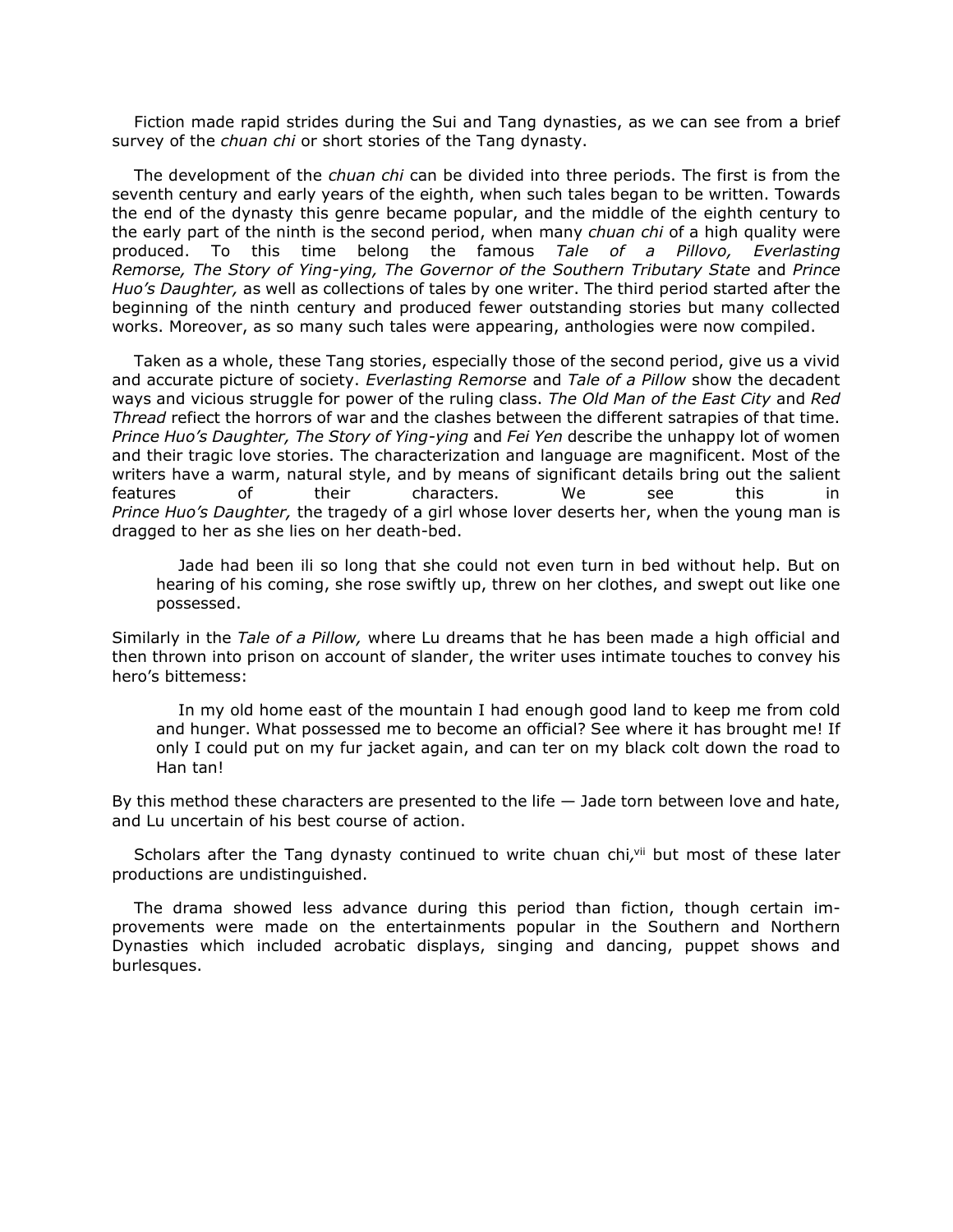Fiction made rapid strides during the Sui and Tang dynasties, as we can see from a brief survey of the *chuan chi* or short stories of the Tang dynasty.

The development of the *chuan chi* can be divided into three periods. The first is from the seventh century and early years of the eighth, when such tales began to be written. Towards the end of the dynasty this genre became popular, and the middle of the eighth century to the early part of the ninth is the second period, when many *chuan chi* of a high quality were produced. To this time belong the famous *Tale of a Pillovo, Everlasting Remorse, The Story of Ying-ying, The Governor of the Southern Tributary State* and *Prince Huo's Daughter,* as well as collections of tales by one writer. The third period started after the beginning of the ninth century and produced fewer outstanding stories but many collected works. Moreover, as so many such tales were appearing, anthologies were now compiled.

Taken as a whole, these Tang stories, especially those of the second period, give us a vivid and accurate picture of society. *Everlasting Remorse* and *Tale of a Pillow* show the decadent ways and vicious struggle for power of the ruling class. *The Old Man of the East City* and *Red Thread* refiect the horrors of war and the clashes between the different satrapies of that time. *Prince Huo's Daughter, The Story of Ying-ying* and *Fei Yen* describe the unhappy lot of women and their tragic love stories. The characterization and language are magnificent. Most of the writers have a warm, natural style, and by means of significant details bring out the salient features of their characters. We see this in *Prince Huo's Daughter,* the tragedy of a girl whose lover deserts her, when the young man is dragged to her as she lies on her death-bed.

Jade had been ili so long that she could not even turn in bed without help. But on hearing of his coming, she rose swiftly up, threw on her clothes, and swept out like one possessed.

Similarly in the *Tale of a Pillow,* where Lu dreams that he has been made a high official and then thrown into prison on account of slander, the writer uses intimate touches to convey his hero's bittemess:

In my old home east of the mountain I had enough good land to keep me from cold and hunger. What possessed me to become an official? See where it has brought me! If only I could put on my fur jacket again, and can ter on my black colt down the road to Han tan!

By this method these characters are presented to the life — Jade torn between love and hate, and Lu uncertain of his best course of action.

Scholars after the Tang dynasty continued to write chuan chi, vii but most of these later productions are undistinguished.

The drama showed less advance during this period than fiction, though certain improvements were made on the entertainments popular in the Southern and Northern Dynasties which included acrobatic displays, singing and dancing, puppet shows and burlesques.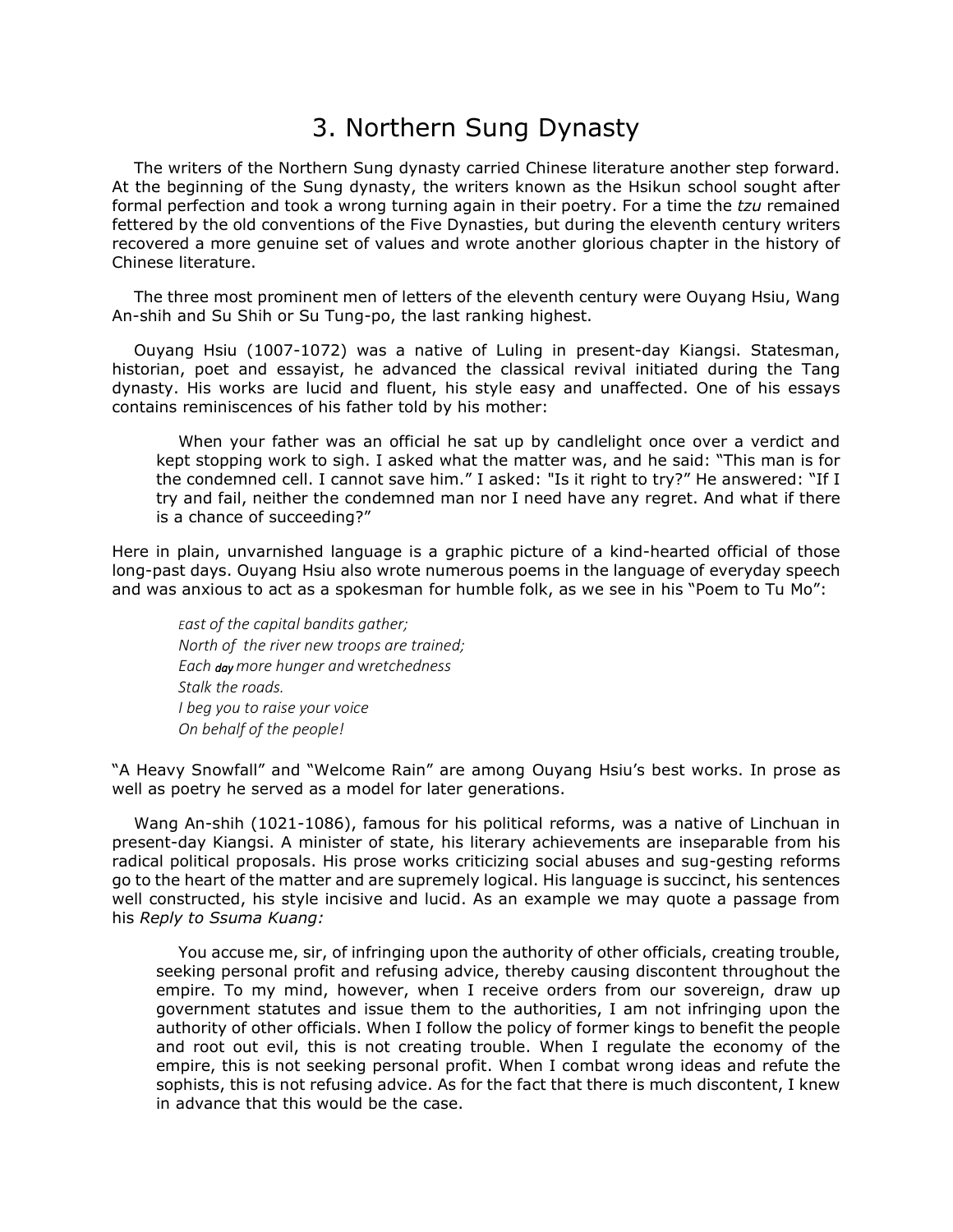### 3. Northern Sung Dynasty

The writers of the Northern Sung dynasty carried Chinese literature another step forward. At the beginning of the Sung dynasty, the writers known as the Hsikun school sought after formal perfection and took a wrong turning again in their poetry. For a time the *tzu* remained fettered by the old conventions of the Five Dynasties, but during the eleventh century writers recovered a more genuine set of values and wrote another glorious chapter in the history of Chinese literature.

The three most prominent men of letters of the eleventh century were Ouyang Hsiu, Wang An-shih and Su Shih or Su Tung-po, the last ranking highest.

Ouyang Hsiu (1007-1072) was a native of Luling in present-day Kiangsi. Statesman, historian, poet and essayist, he advanced the classical revival initiated during the Tang dynasty. His works are lucid and fluent, his style easy and unaffected. One of his essays contains reminiscences of his father told by his mother:

When your father was an official he sat up by candlelight once over a verdict and kept stopping work to sigh. I asked what the matter was, and he said: "This man is for the condemned cell. I cannot save him." I asked: "Is it right to try?" He answered: "If I try and fail, neither the condemned man nor I need have any regret. And what if there is a chance of succeeding?"

Here in plain, unvarnished language is a graphic picture of a kind-hearted official of those long-past days. Ouyang Hsiu also wrote numerous poems in the language of everyday speech and was anxious to act as a spokesman for humble folk, as we see in his "Poem to Tu Mo":

*East of the capital bandits gather; North of the river new troops are trained; Each day more hunger and* w*retchedness Stalk the roads. I beg you to raise your voice On behalf of the people!*

"A Heavy Snowfall" and "Welcome Rain" are among Ouyang Hsiu's best works. In prose as well as poetry he served as a model for later generations.

Wang An-shih (1021-1086), famous for his political reforms, was a native of Linchuan in present-day Kiangsi. A minister of state, his literary achievements are inseparable from his radical political proposals. His prose works criticizing social abuses and sug-gesting reforms go to the heart of the matter and are supremely logical. His language is succinct, his sentences well constructed, his style incisive and lucid. As an example we may quote a passage from his *Reply to Ssuma Kuang:*

You accuse me, sir, of infringing upon the authority of other officials, creating trouble, seeking personal profit and refusing advice, thereby causing discontent throughout the empire. To my mind, however, when I receive orders from our sovereign, draw up government statutes and issue them to the authorities, I am not infringing upon the authority of other officials. When I follow the policy of former kings to benefit the people and root out evil, this is not creating trouble. When I regulate the economy of the empire, this is not seeking personal profit. When I combat wrong ideas and refute the sophists, this is not refusing advice. As for the fact that there is much discontent, I knew in advance that this would be the case.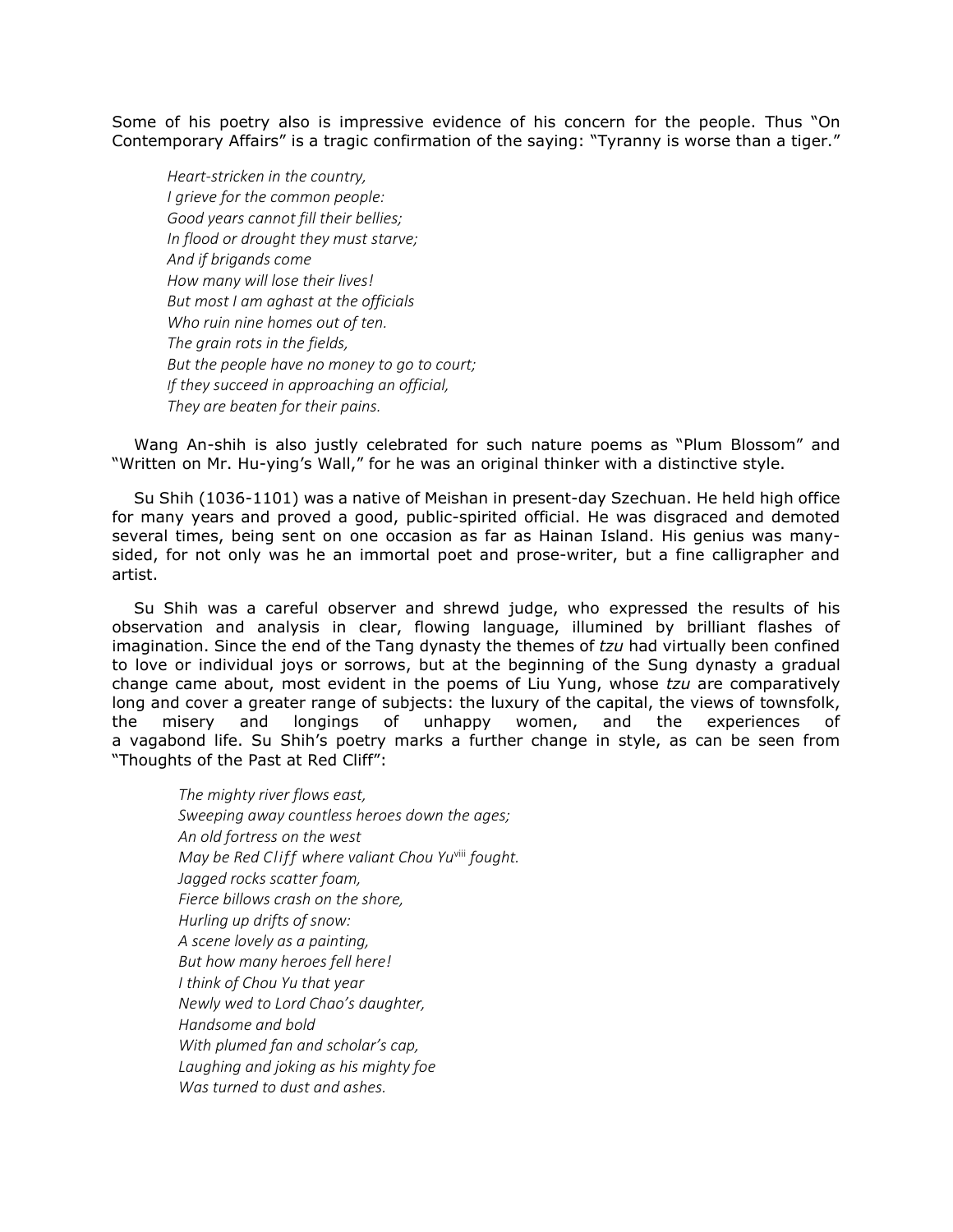Some of his poetry also is impressive evidence of his concern for the people. Thus "On Contemporary Affairs" is a tragic confirmation of the saying: "Tyranny is worse than a tiger."

*Heart-stricken in the country, I grieve for the common people: Good years cannot fill their bellies; In flood or drought they must starve; And if brigands come How many will lose their lives! But most I am aghast at the officials Who ruin nine homes out of ten. The grain rots in the fields, But the people have no money to go to court; If they succeed in approaching an official, They are beaten for their pains.*

Wang An-shih is also justly celebrated for such nature poems as "Plum Blossom" and "Written on Mr. Hu-ying's Wall," for he was an original thinker with a distinctive style.

Su Shih (1036-1101) was a native of Meishan in present-day Szechuan. He held high office for many years and proved a good, public-spirited official. He was disgraced and demoted several times, being sent on one occasion as far as Hainan Island. His genius was manysided, for not only was he an immortal poet and prose-writer, but a fine calligrapher and artist.

Su Shih was a careful observer and shrewd judge, who expressed the results of his observation and analysis in clear, flowing language, illumined by brilliant flashes of imagination. Since the end of the Tang dynasty the themes of *tzu* had virtually been confined to love or individual joys or sorrows, but at the beginning of the Sung dynasty a gradual change came about, most evident in the poems of Liu Yung, whose *tzu* are comparatively long and cover a greater range of subjects: the luxury of the capital, the views of townsfolk, the misery and longings of unhappy women, and the experiences of a vagabond life. Su Shih's poetry marks a further change in style, as can be seen from "Thoughts of the Past at Red Cliff":

*The mighty river flows east, Sweeping away countless heroes down the ages; An old fortress on the west May be Red Cliff where valiant Chou Yu*viii *fought. Jagged rocks scatter foam, Fierce billows crash on the shore, Hurling up drifts of snow: A scene lovely as a painting, But how many heroes fell here! I think of Chou Yu that year Newly wed to Lord Chao's daughter, Handsome and bold With plumed fan and scholar's cap, Laughing and joking as his mighty foe Was turned to dust and ashes.*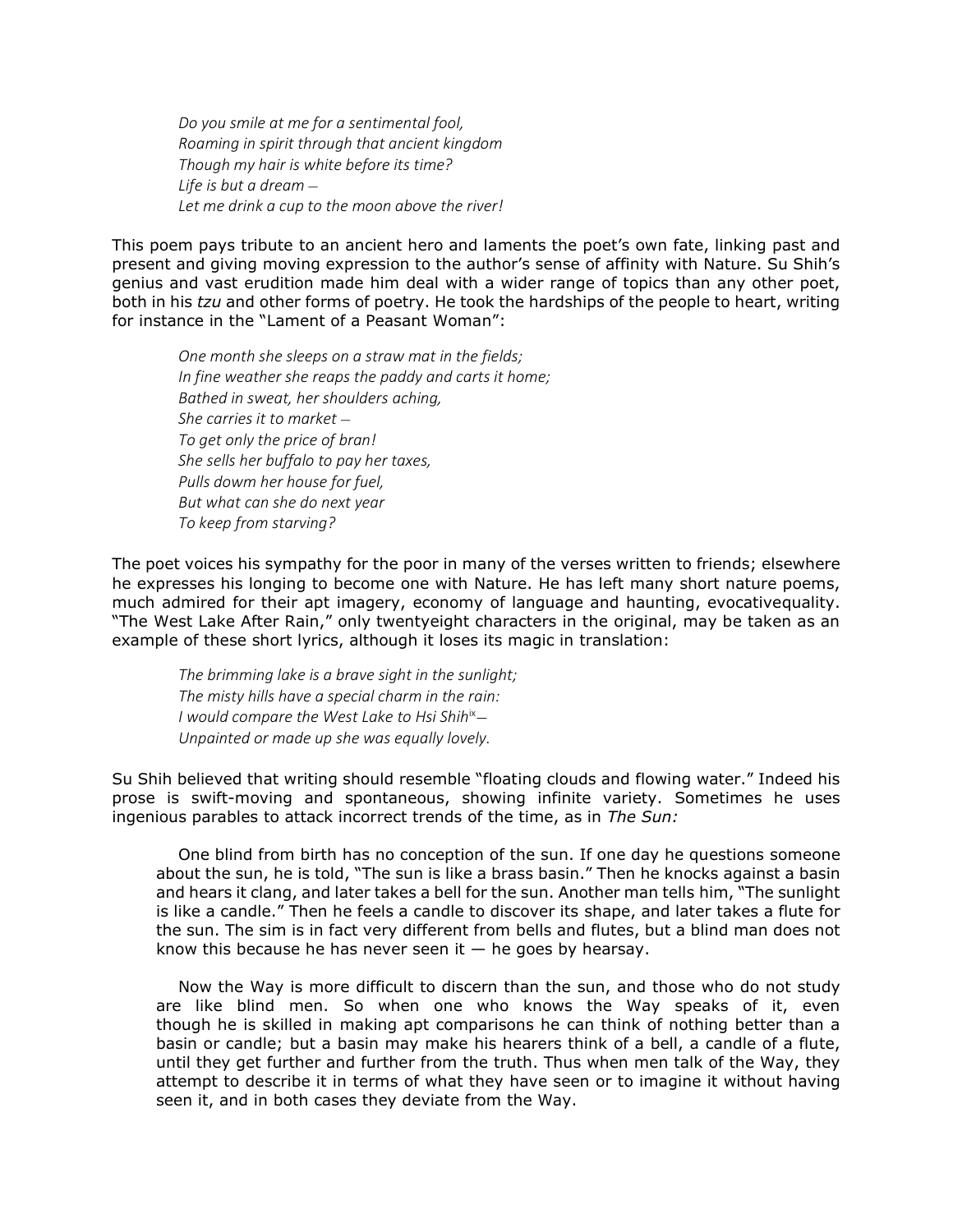*Do you smile at me for a sentimental fool, Roaming in spirit through that ancient kingdom Though my hair is white before its time? Life is but a dream — Let me drink a cup to the moon above the river!*

This poem pays tribute to an ancient hero and laments the poet's own fate, linking past and present and giving moving expression to the author's sense of affinity with Nature. Su Shih's genius and vast erudition made him deal with a wider range of topics than any other poet, both in his *tzu* and other forms of poetry. He took the hardships of the people to heart, writing for instance in the "Lament of a Peasant Woman":

*One month she sleeps on a straw mat in the fields; In fine weather she reaps the paddy and carts it home; Bathed in sweat, her shoulders aching, She carries it to market — To get only the price of bran! She sells her buffalo to pay her taxes, Pulls dowm her house for fuel, But what can she do next year To keep from starving?*

The poet voices his sympathy for the poor in many of the verses written to friends; elsewhere he expresses his longing to become one with Nature. He has left many short nature poems, much admired for their apt imagery, economy of language and haunting, evocativequality. "The West Lake After Rain," only twentyeight characters in the original, may be taken as an example of these short lyrics, although it loses its magic in translation:

*The brimming lake is a brave sight in the sunlight; The misty hills have a special charm in the rain: I would compare the West Lake to Hsi Shih*ix*— Unpainted or made up she was equally lovely.*

Su Shih believed that writing should resemble "floating clouds and flowing water." Indeed his prose is swift-moving and spontaneous, showing infinite variety. Sometimes he uses ingenious parables to attack incorrect trends of the time, as in *The Sun:*

One blind from birth has no conception of the sun. If one day he questions someone about the sun, he is told, "The sun is like a brass basin." Then he knocks against a basin and hears it clang, and later takes a bell for the sun. Another man tells him, "The sunlight is like a candle." Then he feels a candle to discover its shape, and later takes a flute for the sun. The sim is in fact very different from bells and flutes, but a blind man does not know this because he has never seen it  $-$  he goes by hearsay.

Now the Way is more difficult to discern than the sun, and those who do not study are like blind men. So when one who knows the Way speaks of it, even though he is skilled in making apt comparisons he can think of nothing better than a basin or candle; but a basin may make his hearers think of a bell, a candle of a flute, until they get further and further from the truth. Thus when men talk of the Way, they attempt to describe it in terms of what they have seen or to imagine it without having seen it, and in both cases they deviate from the Way.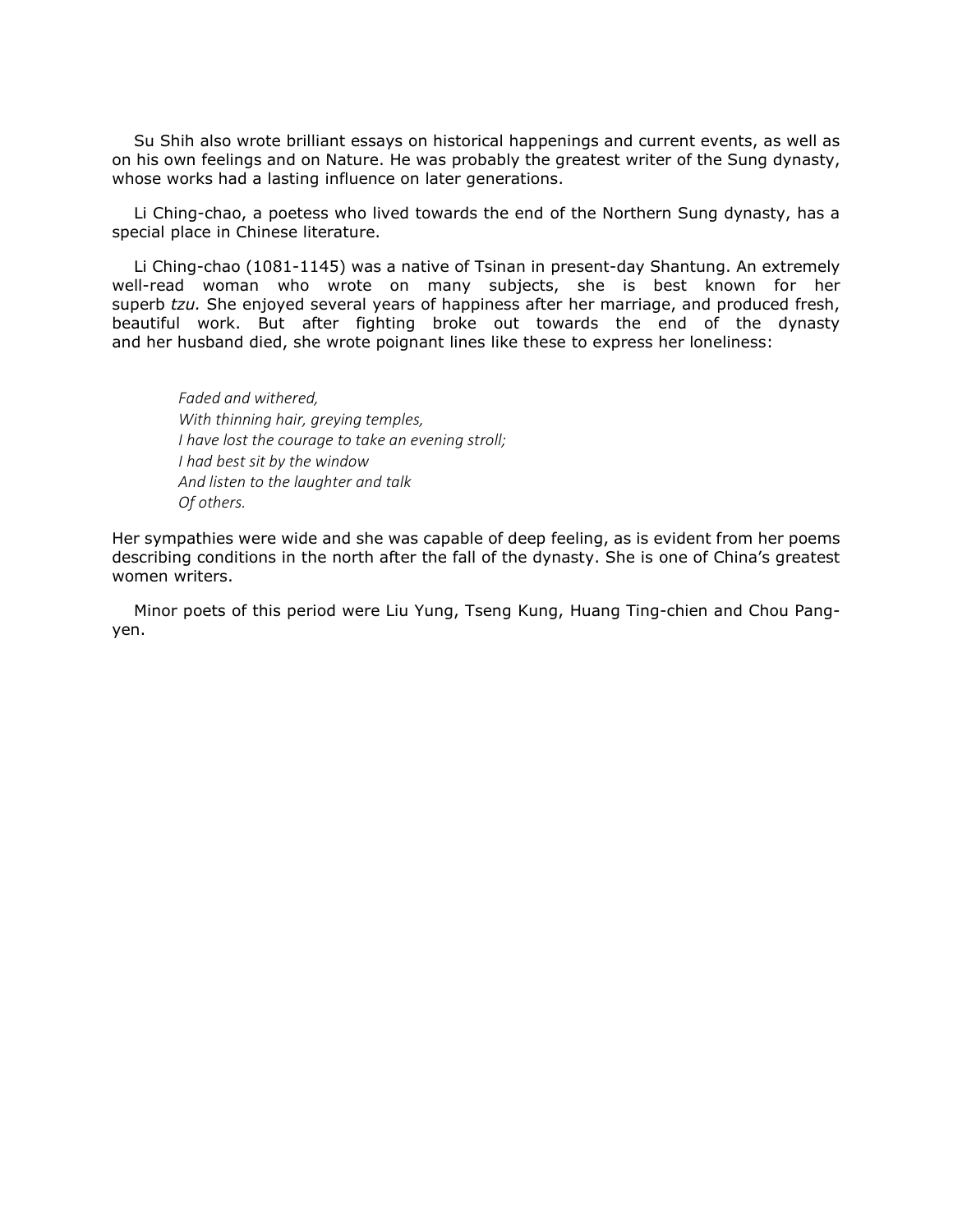Su Shih also wrote brilliant essays on historical happenings and current events, as well as on his own feelings and on Nature. He was probably the greatest writer of the Sung dynasty, whose works had a lasting influence on later generations.

Li Ching-chao, a poetess who lived towards the end of the Northern Sung dynasty, has a special place in Chinese literature.

Li Ching-chao (1081-1145) was a native of Tsinan in present-day Shantung. An extremely well-read woman who wrote on many subjects, she is best known for her superb *tzu.* She enjoyed several years of happiness after her marriage, and produced fresh, beautiful work. But after fighting broke out towards the end of the dynasty and her husband died, she wrote poignant lines like these to express her loneliness:

*Faded and withered, With thinning hair, greying temples, I have lost the courage to take an evening stroll; I had best sit by the window And listen to the laughter and talk Of others.*

Her sympathies were wide and she was capable of deep feeling, as is evident from her poems describing conditions in the north after the fall of the dynasty. She is one of China's greatest women writers.

Minor poets of this period were Liu Yung, Tseng Kung, Huang Ting-chien and Chou Pangyen.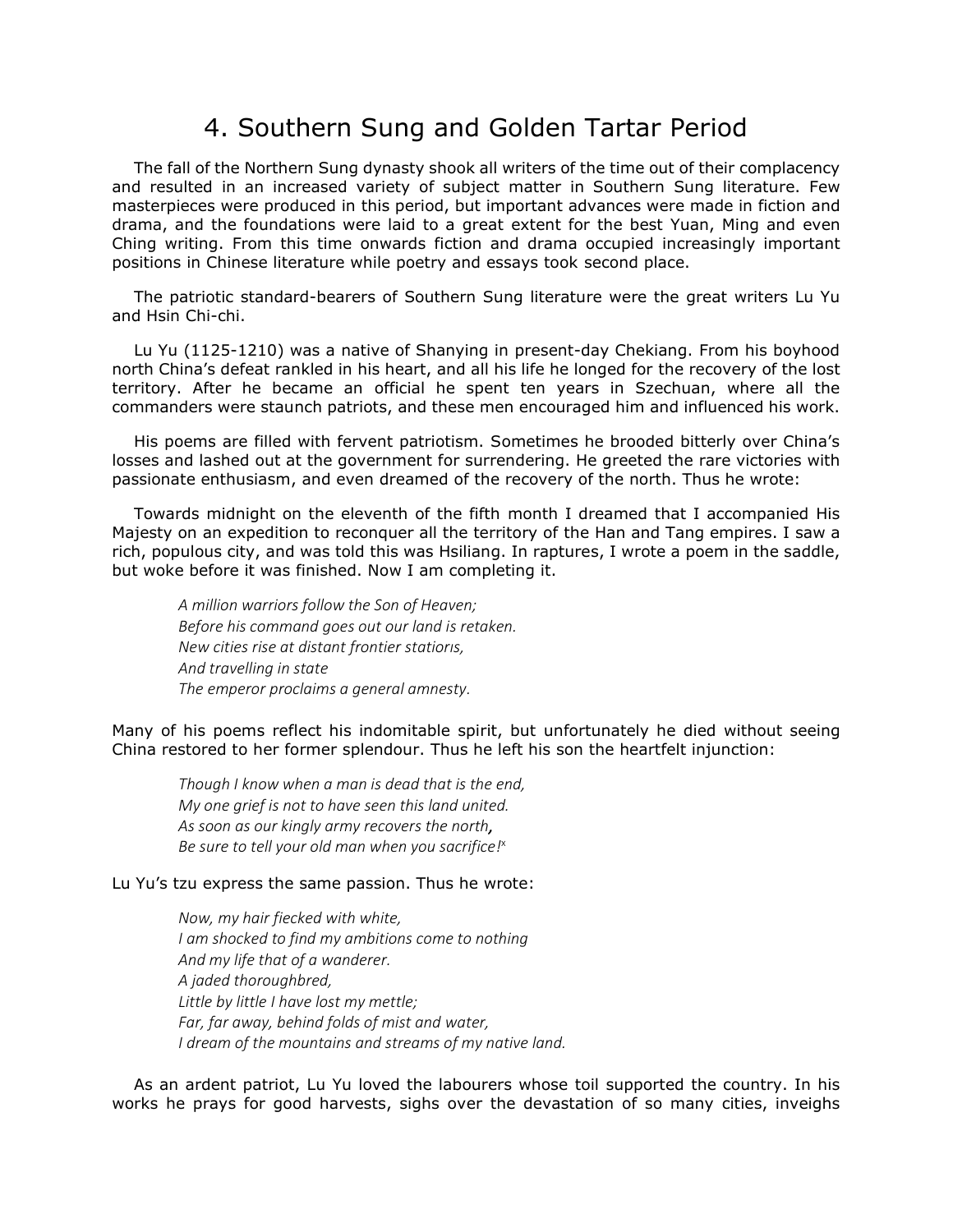#### 4. Southern Sung and Golden Tartar Period

The fall of the Northern Sung dynasty shook all writers of the time out of their complacency and resulted in an increased variety of subject matter in Southern Sung literature. Few masterpieces were produced in this period, but important advances were made in fiction and drama, and the foundations were laid to a great extent for the best Yuan, Ming and even Ching writing. From this time onwards fiction and drama occupied increasingly important positions in Chinese literature while poetry and essays took second place.

The patriotic standard-bearers of Southern Sung literature were the great writers Lu Yu and Hsin Chi-chi.

Lu Yu (1125-1210) was a native of Shanying in present-day Chekiang. From his boyhood north China's defeat rankled in his heart, and all his life he longed for the recovery of the lost territory. After he became an official he spent ten years in Szechuan, where all the commanders were staunch patriots, and these men encouraged him and influenced his work.

His poems are filled with fervent patriotism. Sometimes he brooded bitterly over China's losses and lashed out at the government for surrendering. He greeted the rare victories with passionate enthusiasm, and even dreamed of the recovery of the north. Thus he wrote:

Towards midnight on the eleventh of the fifth month I dreamed that I accompanied His Majesty on an expedition to reconquer all the territory of the Han and Tang empires. I saw a rich, populous city, and was told this was Hsiliang. In raptures, I wrote a poem in the saddle, but woke before it was finished. Now I am completing it.

*A million warriors follow the Son of Heaven; Before his command goes out our land is retaken. New cities rise at distant frontier statiorıs, And travelling in state The emperor proclaims a general amnesty.*

Many of his poems reflect his indomitable spirit, but unfortunately he died without seeing China restored to her former splendour. Thus he left his son the heartfelt injunction:

*Though I know when a man is dead that is the end, My one grief is not to have seen this land united. As soon as our kingly army recovers the north, Be sure to tell your old man when you sacrifice!*<sup>x</sup>

#### Lu Yu's tzu express the same passion. Thus he wrote:

*Now, my hair fiecked with white, I am shocked to find my ambitions come to nothing And my life that of a wanderer. A jaded thoroughbred, Little by little I have lost my mettle; Far, far away, behind folds of mist and water, I dream of the mountains and streams of my native land.*

As an ardent patriot, Lu Yu loved the labourers whose toil supported the country. In his works he prays for good harvests, sighs over the devastation of so many cities, inveighs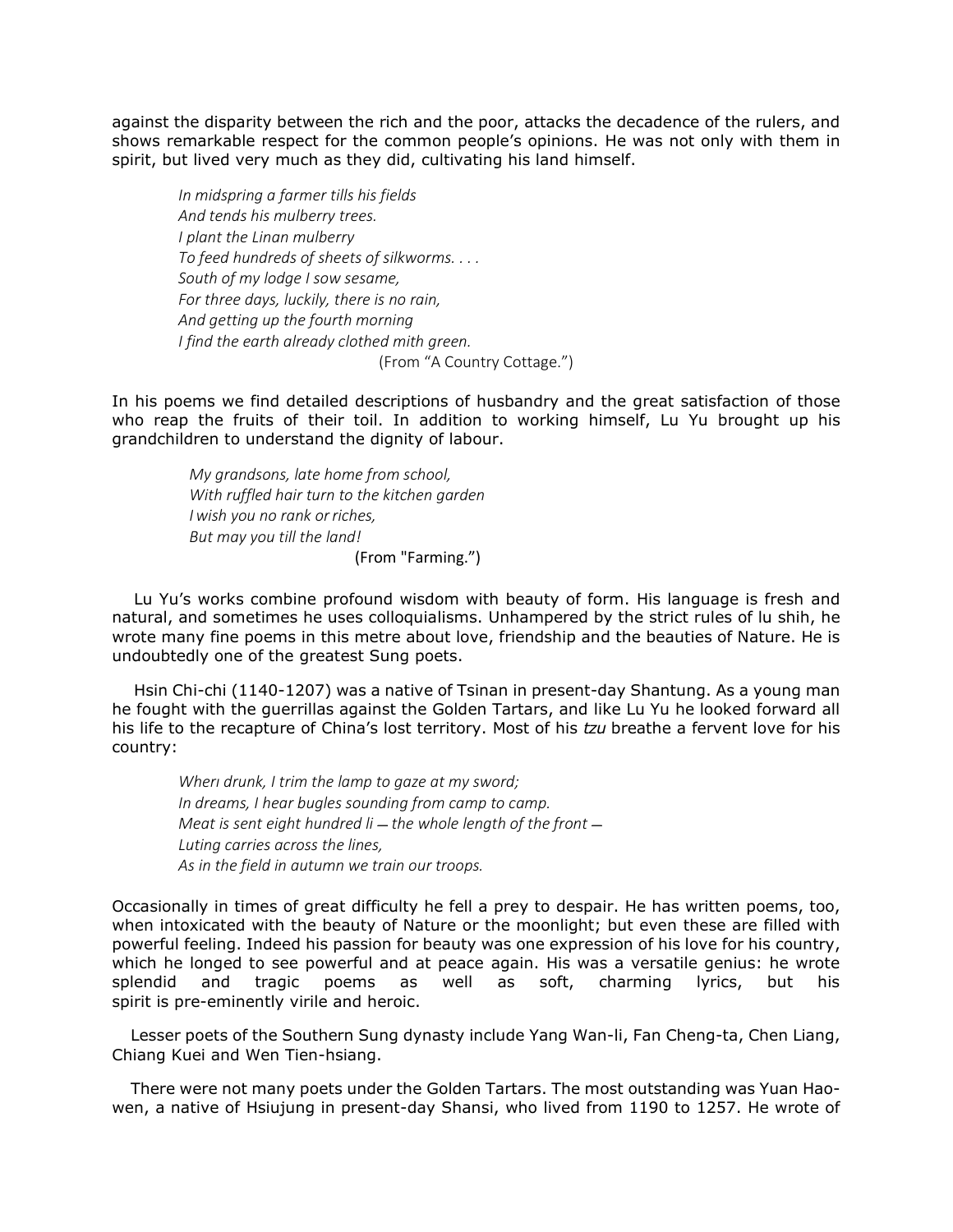against the disparity between the rich and the poor, attacks the decadence of the rulers, and shows remarkable respect for the common people's opinions. He was not only with them in spirit, but lived very much as they did, cultivating his land himself.

*In midspring a farmer tills his fields And tends his mulberry trees. I plant the Linan mulberry To feed hundreds of sheets of silkworms. . . . South of my lodge I sow sesame, For three days, luckily, there is no rain, And getting up the fourth morning I find the earth already clothed mith green.* (From "A Country Cottage.")

In his poems we find detailed descriptions of husbandry and the great satisfaction of those who reap the fruits of their toil. In addition to working himself, Lu Yu brought up his grandchildren to understand the dignity of labour.

> *My grandsons, late home from school, With ruffled hair turn to the kitchen garden I wish you no rank orriches, But may you till the land!* (From "Farming.")

Lu Yu's works combine profound wisdom with beauty of form. His language is fresh and natural, and sometimes he uses colloquialisms. Unhampered by the strict rules of lu shih, he wrote many fine poems in this metre about love, friendship and the beauties of Nature. He is undoubtedly one of the greatest Sung poets.

Hsin Chi-chi (1140-1207) was a native of Tsinan in present-day Shantung. As a young man he fought with the guerrillas against the Golden Tartars, and like Lu Yu he looked forward all his life to the recapture of China's lost territory. Most of his *tzu* breathe a fervent love for his country:

*Wherı drunk, I trim the lamp to gaze at my sword; In dreams, I hear bugles sounding from camp to camp. Meat is sent eight hundred li* – the whole length of the front – *Luting carries across the lines, As in the field in autumn we train our troops.*

Occasionally in times of great difficulty he fell a prey to despair. He has written poems, too, when intoxicated with the beauty of Nature or the moonlight; but even these are filled with powerful feeling. Indeed his passion for beauty was one expression of his love for his country, which he longed to see powerful and at peace again. His was a versatile genius: he wrote splendid and tragic poems as well as soft, charming lyrics, but his spirit is pre-eminently virile and heroic.

Lesser poets of the Southern Sung dynasty include Yang Wan-li, Fan Cheng-ta, Chen Liang, Chiang Kuei and Wen Tien-hsiang.

There were not many poets under the Golden Tartars. The most outstanding was Yuan Haowen, a native of Hsiujung in present-day Shansi, who lived from 1190 to 1257. He wrote of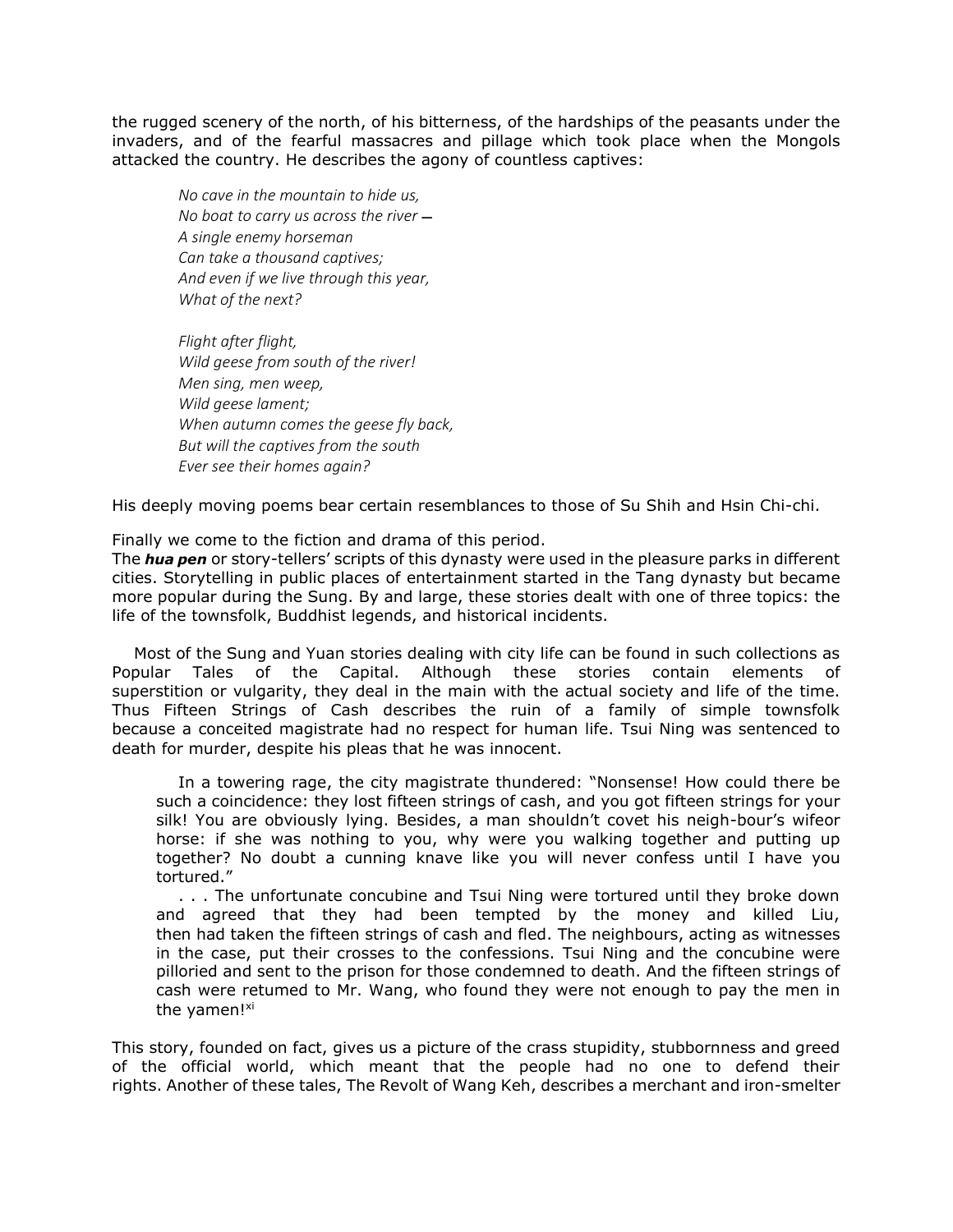the rugged scenery of the north, of his bitterness, of the hardships of the peasants under the invaders, and of the fearful massacres and pillage which took place when the Mongols attacked the country. He describes the agony of countless captives:

*No cave in the mountain to hide us, No boat to carry us across the river*  $-$ *A single enemy horseman Can take a thousand captives; And even if we live through this year, What of the next?*

*Flight after flight, Wild geese from south of the river! Men sing, men weep, Wild geese lament; When autumn comes the geese fly back, But will the captives from the south Ever see their homes again?*

His deeply moving poems bear certain resemblances to those of Su Shih and Hsin Chi-chi.

Finally we come to the fiction and drama of this period.

The *hua pen* or story-tellers' scripts of this dynasty were used in the pleasure parks in different cities. Storytelling in public places of entertainment started in the Tang dynasty but became more popular during the Sung. By and large, these stories dealt with one of three topics: the life of the townsfolk, Buddhist legends, and historical incidents.

Most of the Sung and Yuan stories dealing with city life can be found in such collections as Popular Tales of the Capital. Although these stories contain elements of superstition or vulgarity, they deal in the main with the actual society and life of the time. Thus Fifteen Strings of Cash describes the ruin of a family of simple townsfolk because a conceited magistrate had no respect for human life. Tsui Ning was sentenced to death for murder, despite his pleas that he was innocent.

In a towering rage, the city magistrate thundered: "Nonsense! How could there be such a coincidence: they lost fifteen strings of cash, and you got fifteen strings for your silk! You are obviously lying. Besides, a man shouldn't covet his neigh-bour's wifeor horse: if she was nothing to you, why were you walking together and putting up together? No doubt a cunning knave like you will never confess until I have you tortured."

. . . The unfortunate concubine and Tsui Ning were tortured until they broke down and agreed that they had been tempted by the money and killed Liu, then had taken the fifteen strings of cash and fled. The neighbours, acting as witnesses in the case, put their crosses to the confessions. Tsui Ning and the concubine were pilloried and sent to the prison for those condemned to death. And the fifteen strings of cash were retumed to Mr. Wang, who found they were not enough to pay the men in the yamen!<sup>xi</sup>

This story, founded on fact, gives us a picture of the crass stupidity, stubbornness and greed of the official world, which meant that the people had no one to defend their rights. Another of these tales, The Revolt of Wang Keh, describes a merchant and iron-smelter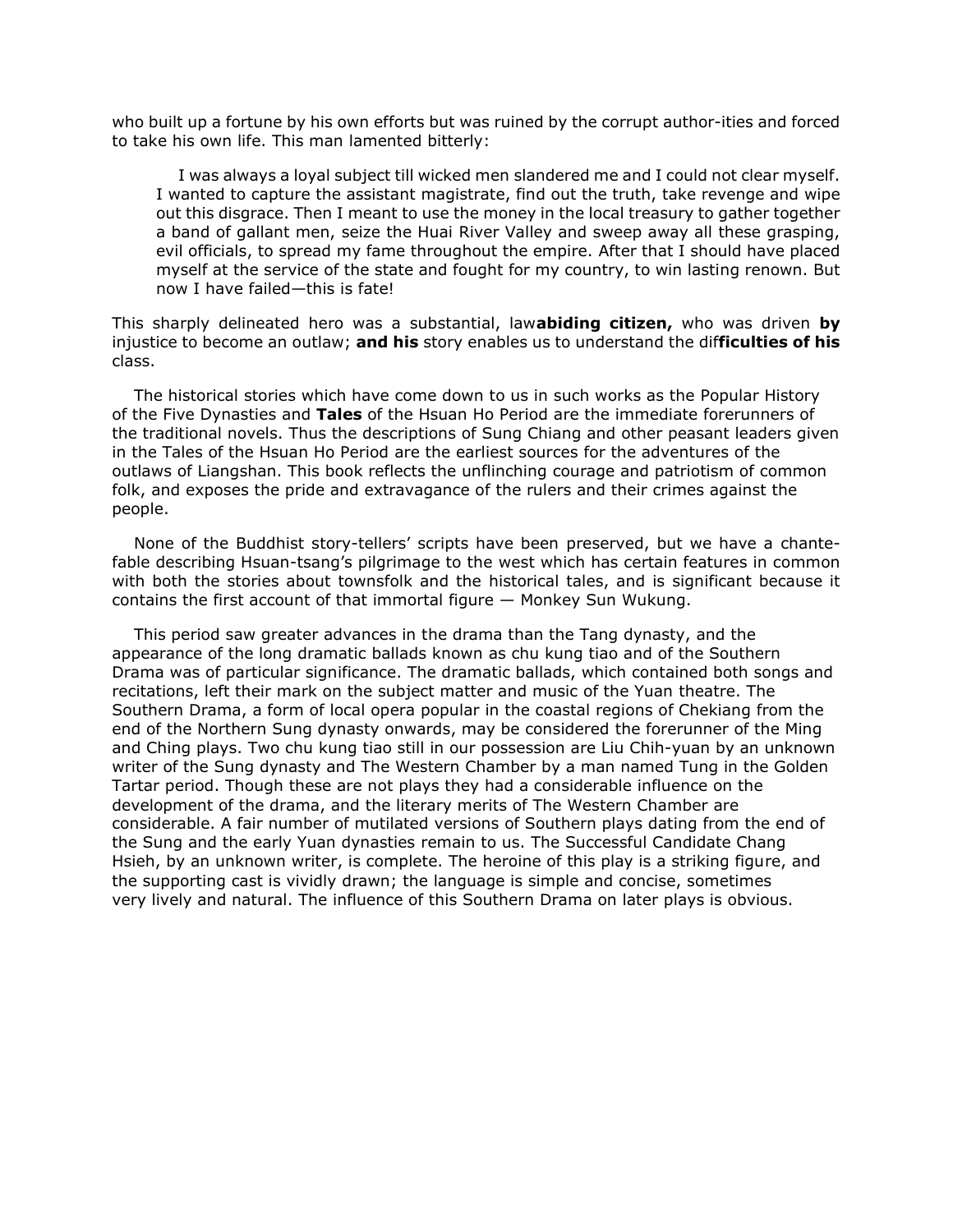who built up a fortune by his own efforts but was ruined by the corrupt author-ities and forced to take his own life. This man lamented bitterly:

I was always a loyal subject till wicked men slandered me and I could not clear myself. I wanted to capture the assistant magistrate, find out the truth, take revenge and wipe out this disgrace. Then I meant to use the money in the local treasury to gather together a band of gallant men, seize the Huai River Valley and sweep away all these grasping, evil officials, to spread my fame throughout the empire. After that I should have placed myself at the service of the state and fought for my country, to win lasting renown. But now I have failed—this is fate!

This sharply delineated hero was a substantial, law**abiding citizen,** who was driven **by**  injustice to become an outlaw; **and his** story enables us to understand the dif**ficulties of his** class.

The historical stories which have come down to us in such works as the Popular History of the Five Dynasties and **Tales** of the Hsuan Ho Period are the immediate forerunners of the traditional novels. Thus the descriptions of Sung Chiang and other peasant leaders given in the Tales of the Hsuan Ho Period are the earliest sources for the adventures of the outlaws of Liangshan. This book reflects the unflinching courage and patriotism of common folk, and exposes the pride and extravagance of the rulers and their crimes against the people.

None of the Buddhist story-tellers' scripts have been preserved, but we have a chantefable describing Hsuan-tsang's pilgrimage to the west which has certain features in common with both the stories about townsfolk and the historical tales, and is significant because it contains the first account of that immortal figure — Monkey Sun Wukung.

This period saw greater advances in the drama than the Tang dynasty, and the appearance of the long dramatic ballads known as chu kung tiao and of the Southern Drama was of particular significance. The dramatic ballads, which contained both songs and recitations, left their mark on the subject matter and music of the Yuan theatre. The Southern Drama, a form of local opera popular in the coastal regions of Chekiang from the end of the Northern Sung dynasty onwards, may be considered the forerunner of the Ming and Ching plays. Two chu kung tiao still in our possession are Liu Chih-yuan by an unknown writer of the Sung dynasty and The Western Chamber by a man named Tung in the Golden Tartar period. Though these are not plays they had a considerable influence on the development of the drama, and the literary merits of The Western Chamber are considerable. A fair number of mutilated versions of Southern plays dating from the end of the Sung and the early Yuan dynasties remain to us. The Successful Candidate Chang Hsieh, by an unknown writer, is complete. The heroine of this play is a striking figure, and the supporting cast is vividly drawn; the language is simple and concise, sometimes very lively and natural. The influence of this Southern Drama on later plays is obvious.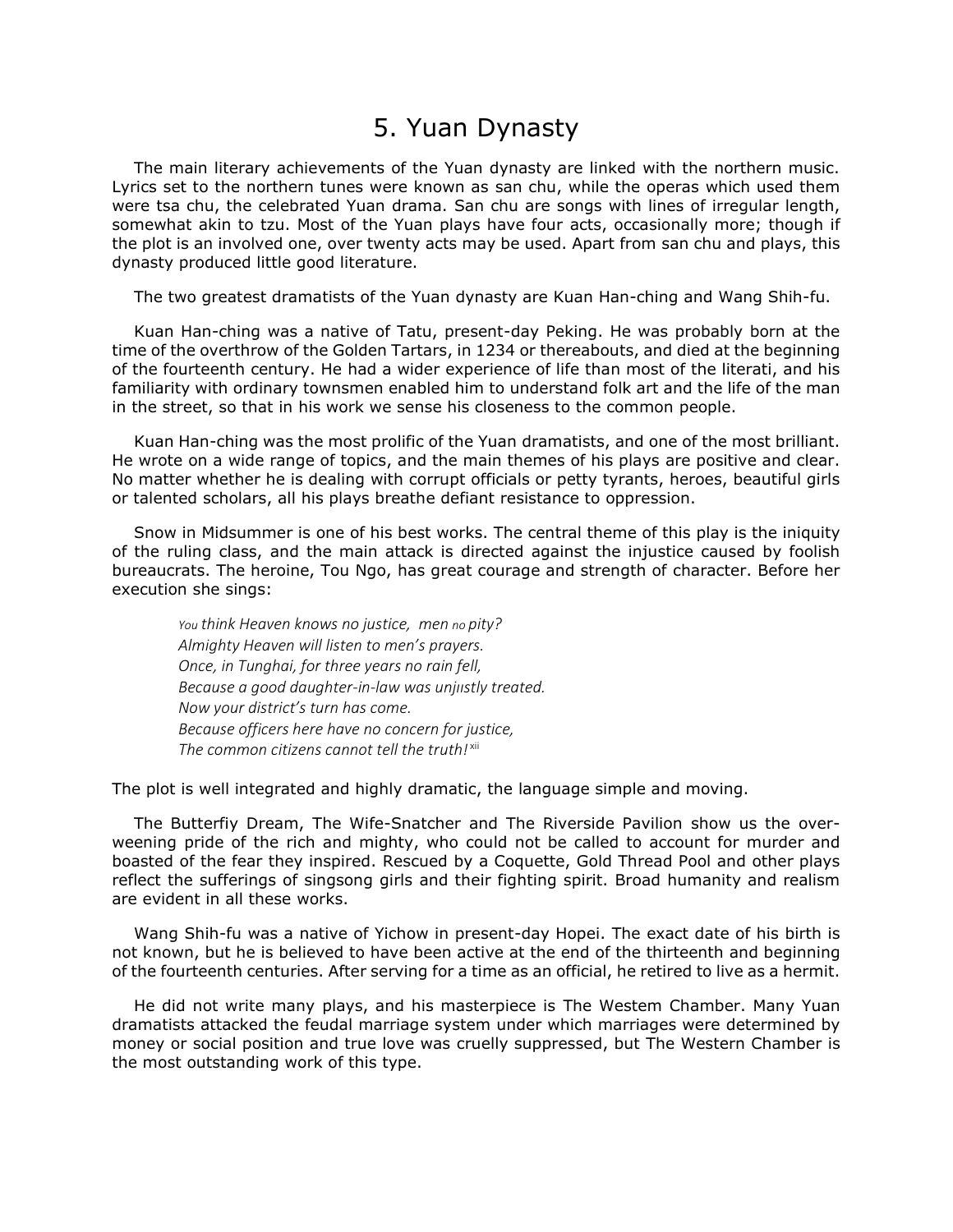### 5. Yuan Dynasty

The main literary achievements of the Yuan dynasty are linked with the northern music. Lyrics set to the northern tunes were known as san chu, while the operas which used them were tsa chu, the celebrated Yuan drama. San chu are songs with lines of irregular length, somewhat akin to tzu. Most of the Yuan plays have four acts, occasionally more; though if the plot is an involved one, over twenty acts may be used. Apart from san chu and plays, this dynasty produced little good literature.

The two greatest dramatists of the Yuan dynasty are Kuan Han-ching and Wang Shih-fu.

Kuan Han-ching was a native of Tatu, present-day Peking. He was probably born at the time of the overthrow of the Golden Tartars, in 1234 or thereabouts, and died at the beginning of the fourteenth century. He had a wider experience of life than most of the literati, and his familiarity with ordinary townsmen enabled him to understand folk art and the life of the man in the street, so that in his work we sense his closeness to the common people.

Kuan Han-ching was the most prolific of the Yuan dramatists, and one of the most brilliant. He wrote on a wide range of topics, and the main themes of his plays are positive and clear. No matter whether he is dealing with corrupt officials or petty tyrants, heroes, beautiful girls or talented scholars, all his plays breathe defiant resistance to oppression.

Snow in Midsummer is one of his best works. The central theme of this play is the iniquity of the ruling class, and the main attack is directed against the injustice caused by foolish bureaucrats. The heroine, Tou Ngo, has great courage and strength of character. Before her execution she sings:

*You think Heaven knows no justice, men no pity? Almighty Heaven will listen to men's prayers. Once, in Tunghai, for three years no rain fell, Because a good daughter-in-law was unjııstly treated. Now your district's turn has come. Because officers here have no concern for justice, The common citizens cannot tell the truth!* xii

The plot is well integrated and highly dramatic, the language simple and moving.

The Butterfiy Dream, The Wife-Snatcher and The Riverside Pavilion show us the overweening pride of the rich and mighty, who could not be called to account for murder and boasted of the fear they inspired. Rescued by a Coquette, Gold Thread Pool and other plays reflect the sufferings of singsong girls and their fighting spirit. Broad humanity and realism are evident in all these works.

Wang Shih-fu was a native of Yichow in present-day Hopei. The exact date of his birth is not known, but he is believed to have been active at the end of the thirteenth and beginning of the fourteenth centuries. After serving for a time as an official, he retired to live as a hermit.

He did not write many plays, and his masterpiece is The Westem Chamber. Many Yuan dramatists attacked the feudal marriage system under which marriages were determined by money or social position and true love was cruelly suppressed, but The Western Chamber is the most outstanding work of this type.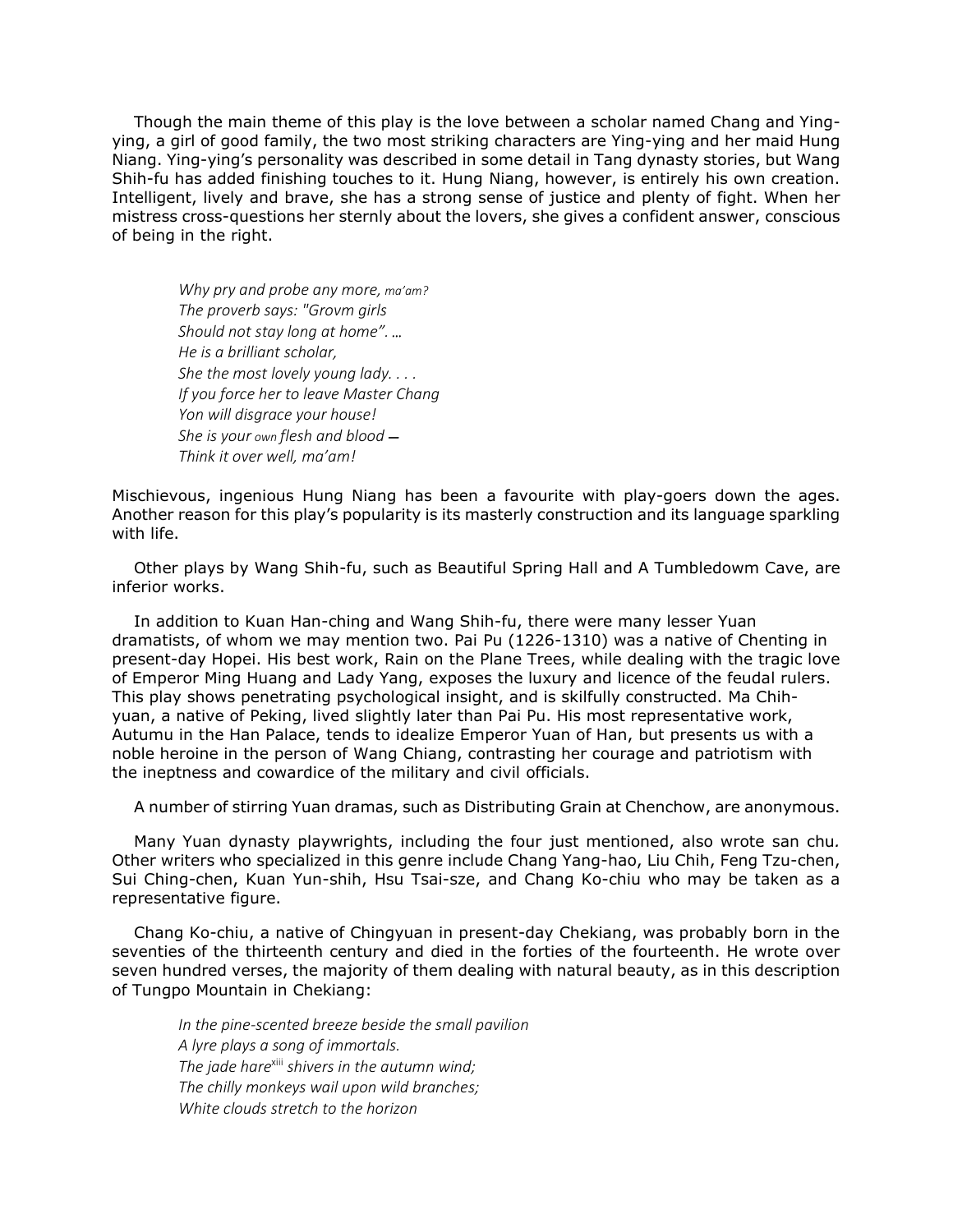Though the main theme of this play is the love between a scholar named Chang and Yingying, a girl of good family, the two most striking characters are Ying-ying and her maid Hung Niang. Ying-ying's personality was described in some detail in Tang dynasty stories, but Wang Shih-fu has added finishing touches to it. Hung Niang, however, is entirely his own creation. Intelligent, lively and brave, she has a strong sense of justice and plenty of fight. When her mistress cross-questions her sternly about the lovers, she gives a confident answer, conscious of being in the right.

*Why pry and probe any more, ma'am? The proverb says: "Grovm girls Should not stay long at home". ... He is a brilliant scholar, She the most lovely young lady. . . . If you force her to leave Master Chang Yon will disgrace your house! She is your own flesh and blood — Think it over well, ma'am!*

Mischievous, ingenious Hung Niang has been a favourite with play-goers down the ages. Another reason for this play's popularity is its masterly construction and its language sparkling with life.

Other plays by Wang Shih-fu, such as Beautiful Spring Hall and A Tumbledowm Cave, are inferior works.

In addition to Kuan Han-ching and Wang Shih-fu, there were many lesser Yuan dramatists, of whom we may mention two. Pai Pu (1226-1310) was a native of Chenting in present-day Hopei. His best work, Rain on the Plane Trees, while dealing with the tragic love of Emperor Ming Huang and Lady Yang, exposes the luxury and licence of the feudal rulers. This play shows penetrating psychological insight, and is skilfully constructed. Ma Chihyuan, a native of Peking, lived slightly later than Pai Pu. His most representative work, Autumu in the Han Palace, tends to idealize Emperor Yuan of Han, but presents us with a noble heroine in the person of Wang Chiang, contrasting her courage and patriotism with the ineptness and cowardice of the military and civil officials.

A number of stirring Yuan dramas, such as Distributing Grain at Chenchow, are anonymous.

Many Yuan dynasty playwrights, including the four just mentioned, also wrote san chu*.* Other writers who specialized in this genre include Chang Yang-hao, Liu Chih, Feng Tzu-chen, Sui Ching-chen, Kuan Yun-shih, Hsu Tsai-sze, and Chang Ko-chiu who may be taken as a representative figure.

Chang Ko-chiu, a native of Chingyuan in present-day Chekiang, was probably born in the seventies of the thirteenth century and died in the forties of the fourteenth. He wrote over seven hundred verses, the majority of them dealing with natural beauty, as in this description of Tungpo Mountain in Chekiang:

*In the pine-scented breeze beside the small pavilion A lyre plays a song of immortals. The jade hare*xiii *shivers in the autumn wind; The chilly monkeys wail upon wild branches; White clouds stretch to the horizon*